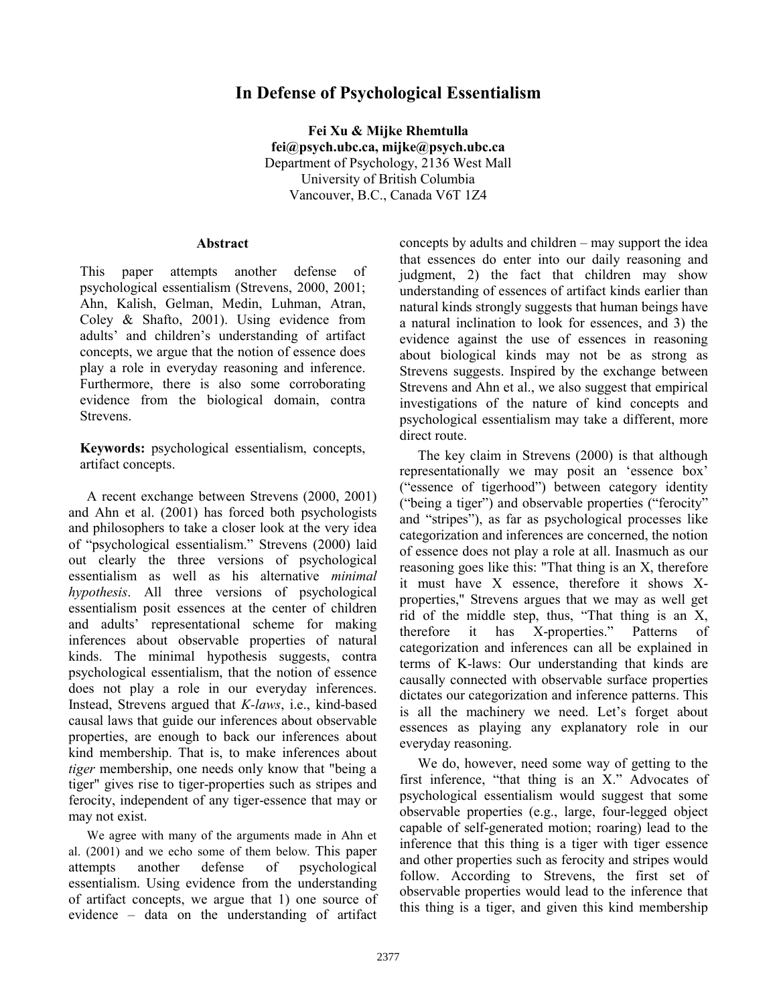## **In Defense of Psychological Essentialism**

**Fei Xu & Mijke Rhemtulla fei@psych.ubc.ca, mijke@psych.ubc.ca** Department of Psychology, 2136 West Mall University of British Columbia Vancouver, B.C., Canada V6T 1Z4

## **Abstract**

This paper attempts another defense of psychological essentialism (Strevens, 2000, 2001; Ahn, Kalish, Gelman, Medin, Luhman, Atran, Coley & Shafto, 2001). Using evidence from adults' and children's understanding of artifact concepts, we argue that the notion of essence does play a role in everyday reasoning and inference. Furthermore, there is also some corroborating evidence from the biological domain, contra Strevens.

**Keywords:** psychological essentialism, concepts, artifact concepts.

A recent exchange between Strevens (2000, 2001) and Ahn et al. (2001) has forced both psychologists and philosophers to take a closer look at the very idea of "psychological essentialism." Strevens (2000) laid out clearly the three versions of psychological essentialism as well as his alternative *minimal hypothesis*. All three versions of psychological essentialism posit essences at the center of children and adults' representational scheme for making inferences about observable properties of natural kinds. The minimal hypothesis suggests, contra psychological essentialism, that the notion of essence does not play a role in our everyday inferences. Instead, Strevens argued that *K-laws*, i.e., kind-based causal laws that guide our inferences about observable properties, are enough to back our inferences about kind membership. That is, to make inferences about *tiger* membership, one needs only know that "being a tiger" gives rise to tiger-properties such as stripes and ferocity, independent of any tiger-essence that may or may not exist.

We agree with many of the arguments made in Ahn et al. (2001) and we echo some of them below. This paper attempts another defense of psychological essentialism. Using evidence from the understanding of artifact concepts, we argue that 1) one source of evidence – data on the understanding of artifact

concepts by adults and children – may support the idea that essences do enter into our daily reasoning and judgment, 2) the fact that children may show understanding of essences of artifact kinds earlier than natural kinds strongly suggests that human beings have a natural inclination to look for essences, and 3) the evidence against the use of essences in reasoning about biological kinds may not be as strong as Strevens suggests. Inspired by the exchange between Strevens and Ahn et al., we also suggest that empirical investigations of the nature of kind concepts and psychological essentialism may take a different, more direct route.

The key claim in Strevens (2000) is that although representationally we may posit an 'essence box' ("essence of tigerhood") between category identity ("being a tiger") and observable properties ("ferocity" and "stripes"), as far as psychological processes like categorization and inferences are concerned, the notion of essence does not play a role at all. Inasmuch as our reasoning goes like this: "That thing is an X, therefore it must have X essence, therefore it shows Xproperties," Strevens argues that we may as well get rid of the middle step, thus, "That thing is an X, therefore it has X-properties." Patterns of categorization and inferences can all be explained in terms of K-laws: Our understanding that kinds are causally connected with observable surface properties dictates our categorization and inference patterns. This is all the machinery we need. Let's forget about essences as playing any explanatory role in our everyday reasoning.

We do, however, need some way of getting to the first inference, "that thing is an X." Advocates of psychological essentialism would suggest that some observable properties (e.g., large, four-legged object capable of self-generated motion; roaring) lead to the inference that this thing is a tiger with tiger essence and other properties such as ferocity and stripes would follow. According to Strevens, the first set of observable properties would lead to the inference that this thing is a tiger, and given this kind membership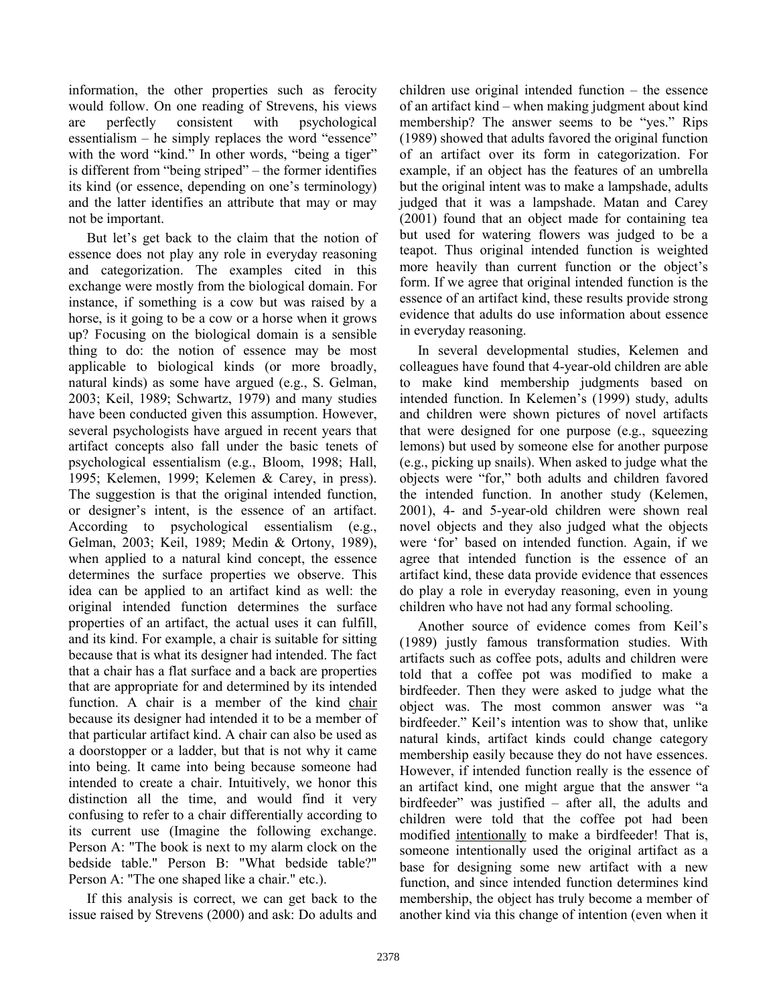information, the other properties such as ferocity would follow. On one reading of Strevens, his views are perfectly consistent with psychological essentialism – he simply replaces the word "essence" with the word "kind." In other words, "being a tiger" is different from "being striped" – the former identifies its kind (or essence, depending on one's terminology) and the latter identifies an attribute that may or may not be important.

But let's get back to the claim that the notion of essence does not play any role in everyday reasoning and categorization. The examples cited in this exchange were mostly from the biological domain. For instance, if something is a cow but was raised by a horse, is it going to be a cow or a horse when it grows up? Focusing on the biological domain is a sensible thing to do: the notion of essence may be most applicable to biological kinds (or more broadly, natural kinds) as some have argued (e.g., S. Gelman, 2003; Keil, 1989; Schwartz, 1979) and many studies have been conducted given this assumption. However, several psychologists have argued in recent years that artifact concepts also fall under the basic tenets of psychological essentialism (e.g., Bloom, 1998; Hall, 1995; Kelemen, 1999; Kelemen & Carey, in press). The suggestion is that the original intended function, or designer's intent, is the essence of an artifact. According to psychological essentialism (e.g., Gelman, 2003; Keil, 1989; Medin & Ortony, 1989), when applied to a natural kind concept, the essence determines the surface properties we observe. This idea can be applied to an artifact kind as well: the original intended function determines the surface properties of an artifact, the actual uses it can fulfill, and its kind. For example, a chair is suitable for sitting because that is what its designer had intended. The fact that a chair has a flat surface and a back are properties that are appropriate for and determined by its intended function. A chair is a member of the kind chair because its designer had intended it to be a member of that particular artifact kind. A chair can also be used as a doorstopper or a ladder, but that is not why it came into being. It came into being because someone had intended to create a chair. Intuitively, we honor this distinction all the time, and would find it very confusing to refer to a chair differentially according to its current use (Imagine the following exchange. Person A: "The book is next to my alarm clock on the bedside table." Person B: "What bedside table?" Person A: "The one shaped like a chair." etc.).

If this analysis is correct, we can get back to the issue raised by Strevens (2000) and ask: Do adults and children use original intended function – the essence of an artifact kind – when making judgment about kind membership? The answer seems to be "yes." Rips (1989) showed that adults favored the original function of an artifact over its form in categorization. For example, if an object has the features of an umbrella but the original intent was to make a lampshade, adults judged that it was a lampshade. Matan and Carey (2001) found that an object made for containing tea but used for watering flowers was judged to be a teapot. Thus original intended function is weighted more heavily than current function or the object's form. If we agree that original intended function is the essence of an artifact kind, these results provide strong evidence that adults do use information about essence in everyday reasoning.

In several developmental studies, Kelemen and colleagues have found that 4-year-old children are able to make kind membership judgments based on intended function. In Kelemen's (1999) study, adults and children were shown pictures of novel artifacts that were designed for one purpose (e.g., squeezing lemons) but used by someone else for another purpose (e.g., picking up snails). When asked to judge what the objects were "for," both adults and children favored the intended function. In another study (Kelemen, 2001), 4- and 5-year-old children were shown real novel objects and they also judged what the objects were 'for' based on intended function. Again, if we agree that intended function is the essence of an artifact kind, these data provide evidence that essences do play a role in everyday reasoning, even in young children who have not had any formal schooling.

Another source of evidence comes from Keil's (1989) justly famous transformation studies. With artifacts such as coffee pots, adults and children were told that a coffee pot was modified to make a birdfeeder. Then they were asked to judge what the object was. The most common answer was "a birdfeeder." Keil's intention was to show that, unlike natural kinds, artifact kinds could change category membership easily because they do not have essences. However, if intended function really is the essence of an artifact kind, one might argue that the answer "a birdfeeder" was justified – after all, the adults and children were told that the coffee pot had been modified intentionally to make a birdfeeder! That is, someone intentionally used the original artifact as a base for designing some new artifact with a new function, and since intended function determines kind membership, the object has truly become a member of another kind via this change of intention (even when it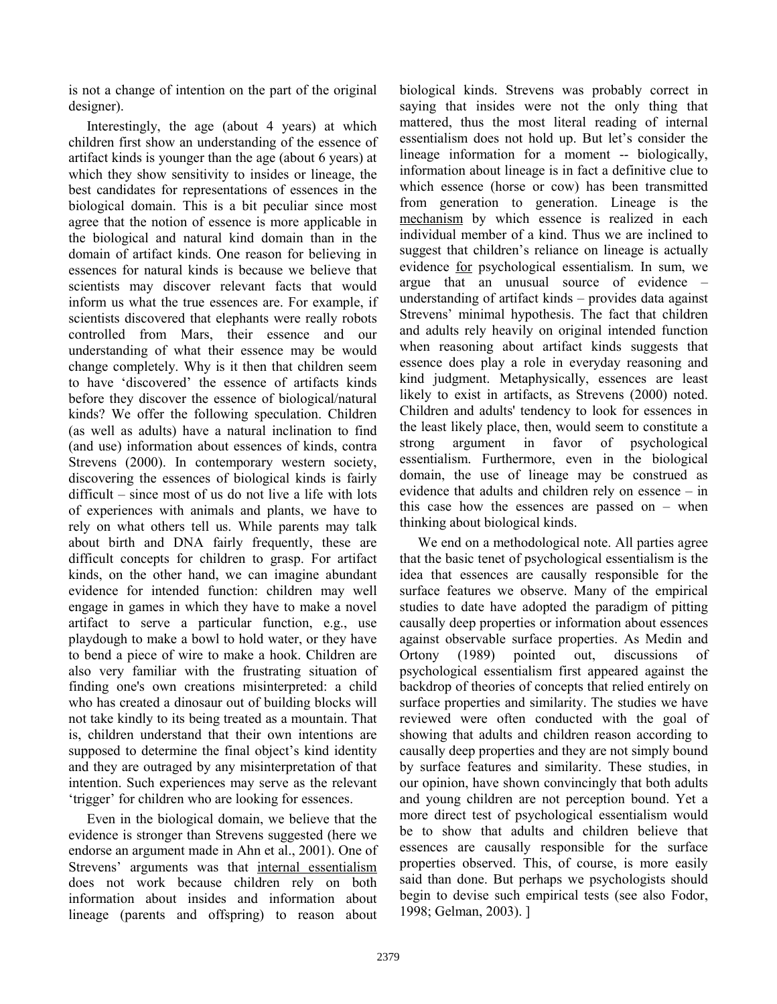is not a change of intention on the part of the original designer).

Interestingly, the age (about 4 years) at which children first show an understanding of the essence of artifact kinds is younger than the age (about 6 years) at which they show sensitivity to insides or lineage, the best candidates for representations of essences in the biological domain. This is a bit peculiar since most agree that the notion of essence is more applicable in the biological and natural kind domain than in the domain of artifact kinds. One reason for believing in essences for natural kinds is because we believe that scientists may discover relevant facts that would inform us what the true essences are. For example, if scientists discovered that elephants were really robots controlled from Mars, their essence and our understanding of what their essence may be would change completely. Why is it then that children seem to have 'discovered' the essence of artifacts kinds before they discover the essence of biological/natural kinds? We offer the following speculation. Children (as well as adults) have a natural inclination to find (and use) information about essences of kinds, contra Strevens (2000). In contemporary western society, discovering the essences of biological kinds is fairly difficult – since most of us do not live a life with lots of experiences with animals and plants, we have to rely on what others tell us. While parents may talk about birth and DNA fairly frequently, these are difficult concepts for children to grasp. For artifact kinds, on the other hand, we can imagine abundant evidence for intended function: children may well engage in games in which they have to make a novel artifact to serve a particular function, e.g., use playdough to make a bowl to hold water, or they have to bend a piece of wire to make a hook. Children are also very familiar with the frustrating situation of finding one's own creations misinterpreted: a child who has created a dinosaur out of building blocks will not take kindly to its being treated as a mountain. That is, children understand that their own intentions are supposed to determine the final object's kind identity and they are outraged by any misinterpretation of that intention. Such experiences may serve as the relevant 'trigger' for children who are looking for essences.

Even in the biological domain, we believe that the evidence is stronger than Strevens suggested (here we endorse an argument made in Ahn et al., 2001). One of Strevens' arguments was that internal essentialism does not work because children rely on both information about insides and information about lineage (parents and offspring) to reason about

biological kinds. Strevens was probably correct in saying that insides were not the only thing that mattered, thus the most literal reading of internal essentialism does not hold up. But let's consider the lineage information for a moment -- biologically, information about lineage is in fact a definitive clue to which essence (horse or cow) has been transmitted from generation to generation. Lineage is the mechanism by which essence is realized in each individual member of a kind. Thus we are inclined to suggest that children's reliance on lineage is actually evidence for psychological essentialism. In sum, we argue that an unusual source of evidence – understanding of artifact kinds – provides data against Strevens' minimal hypothesis. The fact that children and adults rely heavily on original intended function when reasoning about artifact kinds suggests that essence does play a role in everyday reasoning and kind judgment. Metaphysically, essences are least likely to exist in artifacts, as Strevens (2000) noted. Children and adults' tendency to look for essences in the least likely place, then, would seem to constitute a strong argument in favor of psychological essentialism. Furthermore, even in the biological domain, the use of lineage may be construed as evidence that adults and children rely on essence – in this case how the essences are passed on – when thinking about biological kinds.

We end on a methodological note. All parties agree that the basic tenet of psychological essentialism is the idea that essences are causally responsible for the surface features we observe. Many of the empirical studies to date have adopted the paradigm of pitting causally deep properties or information about essences against observable surface properties. As Medin and Ortony (1989) pointed out, discussions of psychological essentialism first appeared against the backdrop of theories of concepts that relied entirely on surface properties and similarity. The studies we have reviewed were often conducted with the goal of showing that adults and children reason according to causally deep properties and they are not simply bound by surface features and similarity. These studies, in our opinion, have shown convincingly that both adults and young children are not perception bound. Yet a more direct test of psychological essentialism would be to show that adults and children believe that essences are causally responsible for the surface properties observed. This, of course, is more easily said than done. But perhaps we psychologists should begin to devise such empirical tests (see also Fodor, 1998; Gelman, 2003). ]